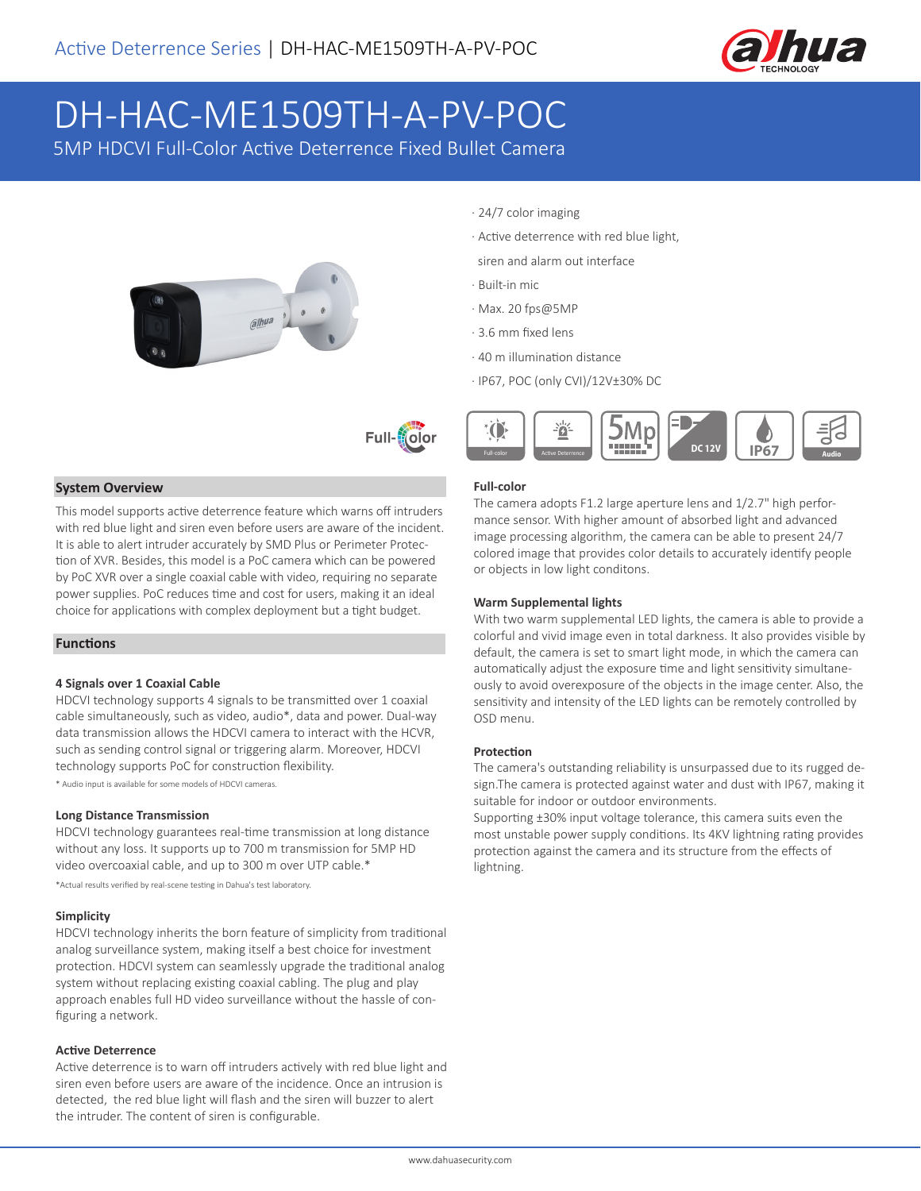

# DH-HAC-ME1509TH-A-PV-POC

5MP HDCVI Full-Color Active Deterrence Fixed Bullet Camera





#### **System Overview**

This model supports active deterrence feature which warns off intruders with red blue light and siren even before users are aware of the incident. It is able to alert intruder accurately by SMD Plus or Perimeter Protection of XVR. Besides, this model is a PoC camera which can be powered by PoC XVR over a single coaxial cable with video, requiring no separate power supplies. PoC reduces time and cost for users, making it an ideal choice for applications with complex deployment but a tight budget.

### **Functions**

#### **4 Signals over 1 Coaxial Cable**

HDCVI technology supports 4 signals to be transmitted over 1 coaxial cable simultaneously, such as video, audio\*, data and power. Dual-way data transmission allows the HDCVI camera to interact with the HCVR, such as sending control signal or triggering alarm. Moreover, HDCVI technology supports PoC for construction flexibility.

\* Audio input is available for some models of HDCVI cameras.

#### **Long Distance Transmission**

HDCVI technology guarantees real-time transmission at long distance without any loss. It supports up to 700 m transmission for 5MP HD video overcoaxial cable, and up to 300 m over UTP cable.\*

\*Actual results verified by real-scene testing in Dahua's test laboratory.

#### **Simplicity**

HDCVI technology inherits the born feature of simplicity from traditional analog surveillance system, making itself a best choice for investment protection. HDCVI system can seamlessly upgrade the traditional analog system without replacing existing coaxial cabling. The plug and play approach enables full HD video surveillance without the hassle of configuring a network.

#### **Active Deterrence**

Active deterrence is to warn off intruders actively with red blue light and siren even before users are aware of the incidence. Once an intrusion is detected, the red blue light will flash and the siren will buzzer to alert the intruder. The content of siren is configurable.

- · 24/7 color imaging
- · Active deterrence with red blue light,
- siren and alarm out interface
- · Built-in mic
- · Max. 20 fps@5MP
- · 3.6 mm fixed lens
- · 40 m illumination distance
- · IP67, POC (only CVI)/12V±30% DC



#### **Full-color**

The camera adopts F1.2 large aperture lens and 1/2.7" high performance sensor. With higher amount of absorbed light and advanced image processing algorithm, the camera can be able to present 24/7 colored image that provides color details to accurately identify people or objects in low light conditons.

#### **Warm Supplemental lights**

With two warm supplemental LED lights, the camera is able to provide a colorful and vivid image even in total darkness. It also provides visible by default, the camera is set to smart light mode, in which the camera can automatically adjust the exposure time and light sensitivity simultaneously to avoid overexposure of the objects in the image center. Also, the sensitivity and intensity of the LED lights can be remotely controlled by OSD menu.

#### **Protection**

The camera's outstanding reliability is unsurpassed due to its rugged design.The camera is protected against water and dust with IP67, making it suitable for indoor or outdoor environments.

Supporting ±30% input voltage tolerance, this camera suits even the most unstable power supply conditions. Its 4KV lightning rating provides protection against the camera and its structure from the effects of lightning.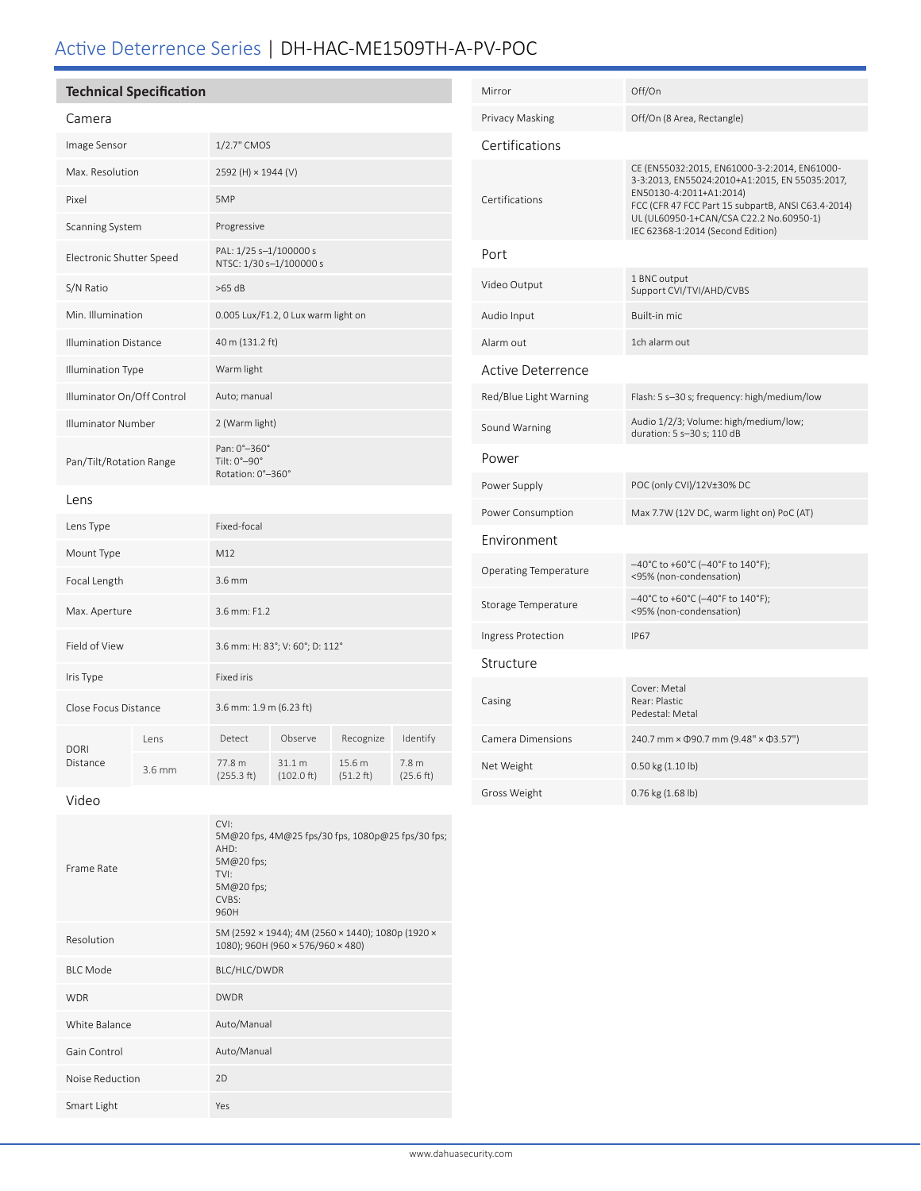# Active Deterrence Series | DH-HAC-ME1509TH-A-PV-POC

|                              | <b>Technical Specification</b> |                                                   |                      |                     | Mirror                        |                      |
|------------------------------|--------------------------------|---------------------------------------------------|----------------------|---------------------|-------------------------------|----------------------|
| Camera                       |                                |                                                   |                      |                     |                               | Privacy Maskin       |
| Image Sensor                 |                                | 1/2.7" CMOS                                       |                      |                     | Certificatio                  |                      |
| Max. Resolution              |                                | 2592 (H) × 1944 (V)                               |                      |                     |                               |                      |
| Pixel                        |                                | 5MP                                               |                      |                     | Certifications                |                      |
| Scanning System              |                                | Progressive                                       |                      |                     |                               |                      |
| Electronic Shutter Speed     |                                | PAL: 1/25 s-1/100000 s<br>NTSC: 1/30 s-1/100000 s |                      |                     | Port                          |                      |
| S/N Ratio                    |                                | $>65$ dB                                          |                      |                     | Video Output                  |                      |
| Min. Illumination            |                                | 0.005 Lux/F1.2, 0 Lux warm light on               |                      |                     | Audio Input                   |                      |
| <b>Illumination Distance</b> |                                | 40 m (131.2 ft)                                   |                      |                     | Alarm out                     |                      |
| Illumination Type            |                                | Warm light                                        |                      |                     | <b>Active Dete</b>            |                      |
| Illuminator On/Off Control   |                                | Auto; manual                                      |                      |                     | Red/Blue Light                |                      |
| Illuminator Number           |                                | 2 (Warm light)                                    |                      |                     | Sound Warning                 |                      |
| Pan/Tilt/Rotation Range      |                                | Pan: 0°-360°<br>Tilt: 0°-90°<br>Rotation: 0°-360° |                      |                     |                               | Power                |
| Lens                         |                                |                                                   |                      |                     | Power Supply                  |                      |
| Lens Type                    |                                | Fixed-focal                                       |                      |                     |                               | Power Consum         |
| Mount Type                   |                                | M12                                               |                      |                     | Environmer                    |                      |
| Focal Length                 |                                | 3.6 mm                                            |                      |                     |                               | <b>Operating Tem</b> |
| Max. Aperture                |                                | 3.6 mm: F1.2                                      |                      |                     |                               | <b>Storage Tempe</b> |
| Field of View                |                                | 3.6 mm: H: 83°; V: 60°; D: 112°                   |                      |                     |                               | Ingress Protect      |
| Iris Type                    |                                | Fixed iris                                        |                      |                     |                               | Structure            |
| Close Focus Distance         |                                | 3.6 mm: 1.9 m (6.23 ft)                           |                      |                     |                               | Casing               |
| <b>DORI</b><br>Distance      | Lens                           | Detect                                            | Observe              | Recognize           | Identify                      | Camera Dimen         |
|                              | $3.6$ mm                       | 77.8 m<br>(255.3 ft)                              | 31.1 m<br>(102.0 ft) | 15.6 m<br>(51.2 ft) | 7.8 <sub>m</sub><br>(25.6 ft) | Net Weight           |
|                              |                                |                                                   |                      |                     |                               | $-1441 - 7 - 144$    |

Video

| Frame Rate      | CVI:<br>5M@20 fps, 4M@25 fps/30 fps, 1080p@25 fps/30 fps;<br>AHD:<br>5M@20 fps;<br>TVI:<br>5M@20 fps;<br>CVBS:<br>960H |
|-----------------|------------------------------------------------------------------------------------------------------------------------|
| Resolution      | 5M (2592 × 1944); 4M (2560 × 1440); 1080p (1920 ×<br>1080); 960H (960 × 576/960 × 480)                                 |
| <b>BLC Mode</b> | BLC/HLC/DWDR                                                                                                           |
| <b>WDR</b>      | <b>DWDR</b>                                                                                                            |
| White Balance   | Auto/Manual                                                                                                            |
| Gain Control    | Auto/Manual                                                                                                            |
| Noise Reduction | 2D                                                                                                                     |
| Smart Light     | Yes                                                                                                                    |

| Mirror                 | Off/On                                                                                                                                                                                                                                                          |
|------------------------|-----------------------------------------------------------------------------------------------------------------------------------------------------------------------------------------------------------------------------------------------------------------|
| Privacy Masking        | Off/On (8 Area, Rectangle)                                                                                                                                                                                                                                      |
| Certifications         |                                                                                                                                                                                                                                                                 |
| Certifications         | CE (EN55032:2015, EN61000-3-2:2014, EN61000-<br>3-3:2013, EN55024:2010+A1:2015, EN 55035:2017,<br>EN50130-4:2011+A1:2014)<br>FCC (CFR 47 FCC Part 15 subpartB, ANSI C63.4-2014)<br>UL (UL60950-1+CAN/CSA C22.2 No.60950-1)<br>IEC 62368-1:2014 (Second Edition) |
| Port                   |                                                                                                                                                                                                                                                                 |
| Video Output           | 1 BNC output<br>Support CVI/TVI/AHD/CVBS                                                                                                                                                                                                                        |
| Audio Input            | Built-in mic                                                                                                                                                                                                                                                    |
| Alarm out              | 1ch alarm out                                                                                                                                                                                                                                                   |
| Active Deterrence      |                                                                                                                                                                                                                                                                 |
| Red/Blue Light Warning | Flash: 5 s-30 s; frequency: high/medium/low                                                                                                                                                                                                                     |
| Sound Warning          | Audio 1/2/3; Volume: high/medium/low;<br>duration: 5 s-30 s; 110 dB                                                                                                                                                                                             |
| Power                  |                                                                                                                                                                                                                                                                 |
| Power Supply           | POC (only CVI)/12V±30% DC                                                                                                                                                                                                                                       |
| Power Consumption      | Max 7.7W (12V DC, warm light on) PoC (AT)                                                                                                                                                                                                                       |
| Environment            |                                                                                                                                                                                                                                                                 |
| Operating Temperature  | -40°C to +60°C (-40°F to 140°F);<br><95% (non-condensation)                                                                                                                                                                                                     |
| Storage Temperature    | -40°C to +60°C (-40°F to 140°F);<br><95% (non-condensation)                                                                                                                                                                                                     |
| Ingress Protection     | <b>IP67</b>                                                                                                                                                                                                                                                     |
| Structure              |                                                                                                                                                                                                                                                                 |
| Casing                 | Cover: Metal<br>Rear: Plastic<br>Pedestal: Metal                                                                                                                                                                                                                |
| Camera Dimensions      | 240.7 mm × $\Phi$ 90.7 mm (9.48" × $\Phi$ 3.57")                                                                                                                                                                                                                |
| Net Weight             | 0.50 kg (1.10 lb)                                                                                                                                                                                                                                               |
| Gross Weight           | 0.76 kg (1.68 lb)                                                                                                                                                                                                                                               |